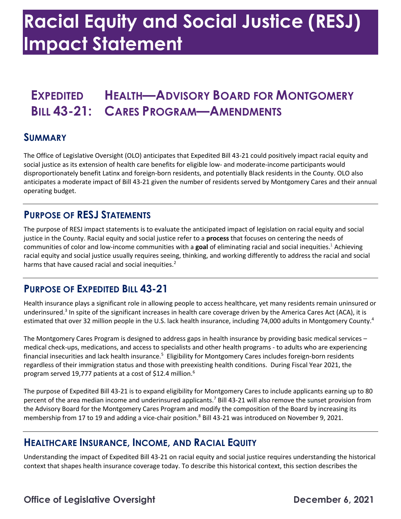## **Racial Equity and Social Justice (RESJ) Impact Statement**

### **EXPEDITED HEALTH—ADVISORY BOARD FOR MONTGOMERY BILL 43-21: CARES PROGRAM—AMENDMENTS**

#### **SUMMARY**

 The Office of Legislative Oversight (OLO) anticipates that Expedited Bill 43-21 could positively impact racial equity and social justice as its extension of health care benefits for eligible low- and moderate-income participants would disproportionately benefit Latinx and foreign-born residents, and potentially Black residents in the County. OLO also anticipates a moderate impact of Bill 43-21 given the number of residents served by Montgomery Cares and their annual operating budget.

#### **PURPOSE OF RESJ STATEMENTS**

 The purpose of RESJ impact statements is to evaluate the anticipated impact of legislation on racial equity and social justice in the County. Racial equity and social justice refer to a **process** that focuses on centering the needs of communities of color and low-income communities with a **goal** of eliminating racial and social inequities.1 Achieving racial equity and social justice usually requires seeing, thinking, and working differently to address the racial and social harms that have caused racial and social inequities.<sup>2</sup>

#### **PURPOSE OF EXPEDITED BILL 43-21**

 Health insurance plays a significant role in allowing people to access healthcare, yet many residents remain uninsured or underinsured.<sup>3</sup> In spite of the significant increases in health care coverage driven by the America Cares Act (ACA), it is estimated that over 32 million people in the U.S. lack health insurance, including 74,000 adults in Montgomery County.<sup>4</sup>

 The Montgomery Cares Program is designed to address gaps in health insurance by providing basic medical services – financial insecurities and lack health insurance.<sup>5</sup> Eligibility for Montgomery Cares includes foreign-born residents regardless of their immigration status and those with preexisting health conditions. During Fiscal Year 2021, the medical check-ups, medications, and access to specialists and other health programs - to adults who are experiencing program served 19,777 patients at a cost of \$12.4 million. 6

 The purpose of Expedited Bill 43-21 is to expand eligibility for Montgomery Cares to include applicants earning up to 80 percent of the area median income and underinsured applicants.<sup>7</sup> Bill 43-21 will also remove the sunset provision from the Advisory Board for the Montgomery Cares Program and modify the composition of the Board by increasing its membership from 17 to 19 and adding a vice-chair position. 8 Bill 43-21 was introduced on November 9, 2021.

#### **HEALTHCARE INSURANCE, INCOME, AND RACIAL EQUITY**

 Understanding the impact of Expedited Bill 43-21 on racial equity and social justice requires understanding the historical context that shapes health insurance coverage today. To describe this historical context, this section describes the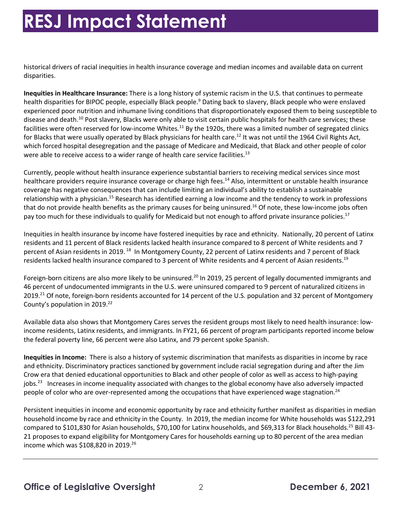## **RESJ Impact Statement**

 historical drivers of racial inequities in health insurance coverage and median incomes and available data on current disparities.

 **Inequities in Healthcare Insurance:** There is a long history of systemic racism in the U.S. that continues to permeate health disparities for BIPOC people, especially Black people.<sup>9</sup> Dating back to slavery, Black people who were enslaved experienced poor nutrition and inhumane living conditions that disproportionately exposed them to being susceptible to disease and death.<sup>10</sup> Post slavery, Blacks were only able to visit certain public hospitals for health care services; these facilities were often reserved for low-income Whites.<sup>11</sup> By the 1920s, there was a limited number of segregated clinics for Blacks that were usually operated by Black physicians for health care.<sup>12</sup> It was not until the 1964 Civil Rights Act, which forced hospital desegregation and the passage of Medicare and Medicaid, that Black and other people of color were able to receive access to a wider range of health care service [facilities.](https://facilities.13)<sup>13</sup>

 Currently, people without health insurance experience substantial barriers to receiving medical services since most healthcare providers require insurance coverage or charge high fees.<sup>14</sup> Also, intermittent or unstable health insurance coverage has negative consequences that can include limiting an individual's ability to establish a sustainable relationship with a physician.<sup>15</sup> Research has identified earning a low income and the tendency to work in professions that do not provide health benefits as the primary causes for being uninsured.<sup>16</sup> Of note, these low-income jobs often pay too much for these individuals to qualify for Medicaid but not enough to afford private insurance policies.<sup>17</sup>

 Inequities in health insurance by income have fostered inequities by race and ethnicity. Nationally, 20 percent of Latinx residents and 11 percent of Black residents lacked health insurance compared to 8 percent of White residents and 7 percent of Asian residents in 2019.<sup>18</sup> In Montgomery County, 22 percent of Latinx residents and 7 percent of Black residents lacked health insurance compared to 3 percent of White residents and 4 percent of Asian [residents.](https://residents.19)<sup>19</sup>

Foreign-born citizens are also more likely to be uninsured.<sup>20</sup> In 2019, 25 percent of legally documented immigrants and 46 percent of undocumented immigrants in the U.S. were uninsured compared to 9 percent of naturalized citizens in 2019.<sup>21</sup> Of note, foreign-born residents accounted for 14 percent of the U.S. population and 32 percent of Montgomery County's population in 2019. 22

 income residents, Latinx residents, and immigrants. In FY21, 66 percent of program participants reported income below the federal poverty line, 66 percent were also Latinx, and 79 percent spoke Spanish. Available data also shows that Montgomery Cares serves the resident groups most likely to need health insurance: low-

 **Inequities in Income:** There is also a history of systemic discrimination that manifests as disparities in income by race and ethnicity. Discriminatory practices sanctioned by government include racial segregation during and after the Jim Crow era that denied educational opportunities to Black and other people of color as well as access to high-paying jobs.<sup>23</sup> Increases in income inequality associated with changes to the global economy have also adversely impacted people of color who are over-represented among the occupations that have experienced wage [stagnation.](https://stagnation.24)<sup>24</sup>

 Persistent inequities in income and economic opportunity by race and ethnicity further manifest as disparities in median household income by race and ethnicity in the County. In 2019, the median income for White households was \$122,291 compared to \$101,830 for Asian households, \$70,100 for Latinx households, and \$69,313 for Black [households.](https://households.25)<sup>25</sup> Bill 43- 21 proposes to expand eligibility for Montgomery Cares for households earning up to 80 percent of the area median income which was \$108,820 in 2019.<sup>26</sup>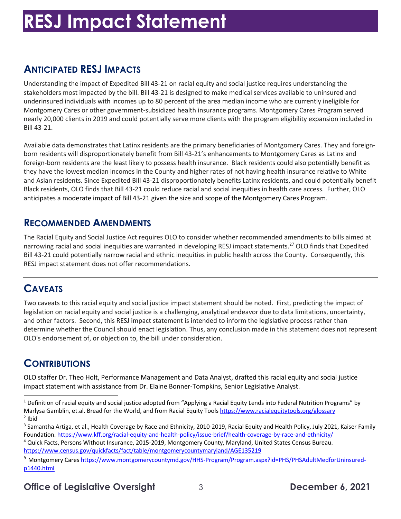# **RESJ Impact Statement**

### **ANTICIPATED RESJ IMPACTS**

 Understanding the impact of Expedited Bill 43-21 on racial equity and social justice requires understanding the stakeholders most impacted by the bill. Bill 43-21 is designed to make medical services available to uninsured and underinsured individuals with incomes up to 80 percent of the area median income who are currently ineligible for Montgomery Cares or other government-subsidized health insurance programs. Montgomery Cares Program served nearly 20,000 clients in 2019 and could potentially serve more clients with the program eligibility expansion included in Bill 43-21.

 Available data demonstrates that Latinx residents are the primary beneficiaries of Montgomery Cares. They and foreign- born residents will disproportionately benefit from Bill 43-21's enhancements to Montgomery Cares as Latinx and foreign-born residents are the least likely to possess health insurance. Black residents could also potentially benefit as they have the lowest median incomes in the County and higher rates of not having health insurance relative to White Black residents, OLO finds that Bill 43-21 could reduce racial and social inequities in health care access. Further, OLO anticipates a moderate impact of Bill 43-21 given the size and scope of the Montgomery Cares Program. and Asian residents. Since Expedited Bill 43-21 disproportionately benefits Latinx residents, and could potentially benefit

#### **RECOMMENDED AMENDMENTS**

 The Racial Equity and Social Justice Act requires OLO to consider whether recommended amendments to bills aimed at narrowing racial and social inequities are warranted in developing RESJ impact statements.<sup>27</sup> OLO finds that Expedited Bill 43-21 could potentially narrow racial and ethnic inequities in public health across the County. Consequently, this RESJ impact statement does not offer recommendations.

### **CAVEATS**

 Two caveats to this racial equity and social justice impact statement should be noted. First, predicting the impact of and other factors. Second, this RESJ impact statement is intended to inform the legislative process rather than determine whether the Council should enact legislation. Thus, any conclusion made in this statement does not represent OLO's endorsement of, or objection to, the bill under consideration. legislation on racial equity and social justice is a challenging, analytical endeavor due to data limitations, uncertainty,

#### **CONTRIBUTIONS**

 OLO staffer Dr. Theo Holt, Performance Management and Data Analyst, drafted this racial equity and social justice impact statement with assistance from Dr. Elaine Bonner-Tompkins, Senior Legislative Analyst.

#### **Office of Legislative Oversight** 3 **December 6, 2021**

 $1$  Definition of racial equity and social justice adopted from "Applying a Racial Equity Lends into Federal Nutrition Programs" by Marlysa Gamblin, et.al. Bread for the World, and from Racial Equity Tools <u>https://www.racialequitytools.org/glossary</u><br><sup>2</sup> Ibid  $2$  Ibid

<sup>&</sup>lt;sup>3</sup> Samantha Artiga, et al., Health Coverage by Race and Ethnicity, 2010-2019, Racial Equity and Health Policy, July 2021, Kaiser Family Foundation. <u>[https://www.kff.org/racial-equity-and-health-policy/issue-brief/health-coverage-by-race-and-ethnicity/](https://www.kff.org/racial-equity-and-health-policy/issue-brief/health-coverage-by-race-and-ethnicity)</u><br><sup>4</sup> Quick Facts, Persons Without Insurance, 2015-2019, Montgomery County, Maryland, United States Census

<https://www.census.gov/quickfacts/fact/table/montgomerycountymaryland/AGE135219>

<sup>&</sup>lt;sup>5</sup> Montgomery Cares<https://www.montgomerycountymd.gov/HHS-Program/Program.aspx?id=PHS/PHSAdultMedforUninsured>p1440.html